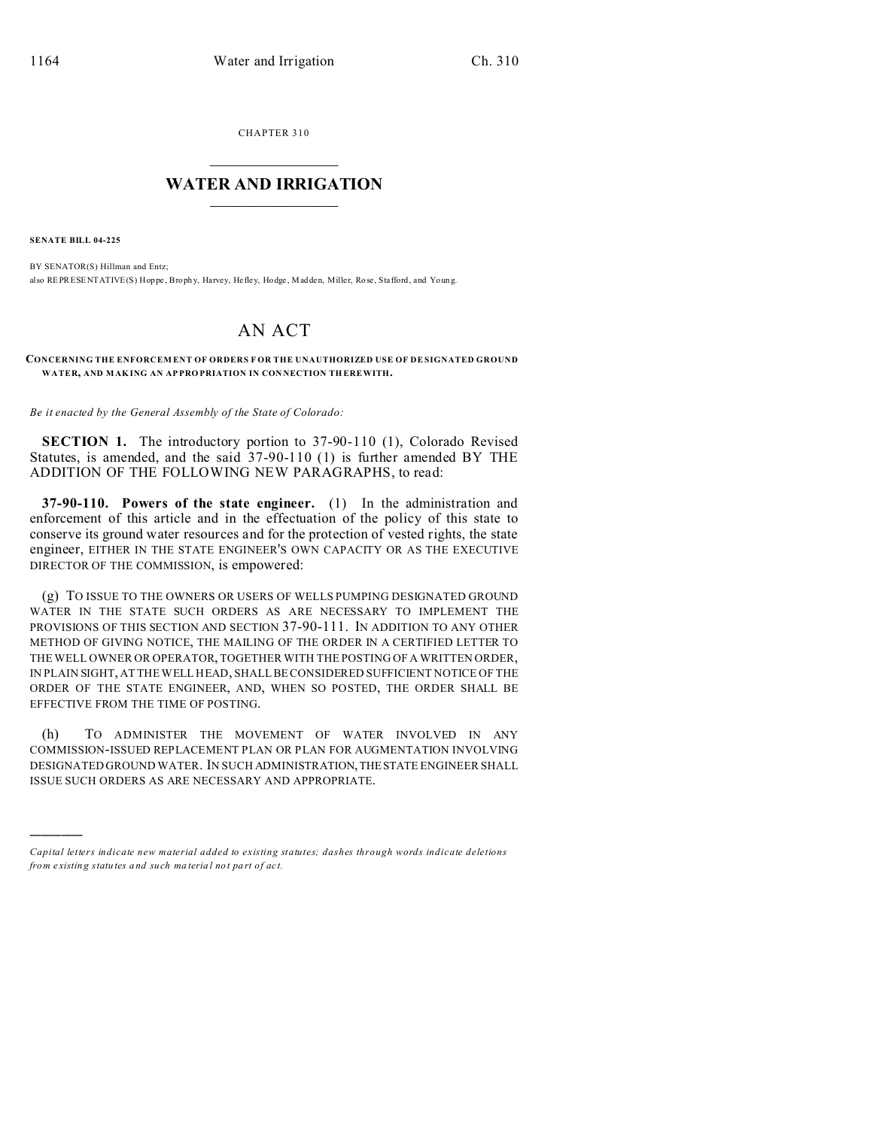CHAPTER 310  $\overline{\phantom{a}}$  , where  $\overline{\phantom{a}}$ 

## **WATER AND IRRIGATION**  $\_$   $\_$   $\_$   $\_$   $\_$   $\_$   $\_$   $\_$   $\_$

**SENATE BILL 04-225**

)))))

BY SENATOR(S) Hillman and Entz; also REPRESENTATIVE(S) Hoppe, Brophy, Harvey, Hefley, Hodge, Madden, Miller, Rose, Stafford, and Young.

## AN ACT

**CONCERNING THE ENFORCEM ENT OF ORDERS F OR THE UNAUTHORIZED USE OF DE SIGNATED GROUND WATER, AND MAK ING AN AP PRO PRIATION IN CON NECTION TH EREWITH.**

*Be it enacted by the General Assembly of the State of Colorado:*

**SECTION 1.** The introductory portion to 37-90-110 (1), Colorado Revised Statutes, is amended, and the said 37-90-110 (1) is further amended BY THE ADDITION OF THE FOLLOWING NEW PARAGRAPHS, to read:

**37-90-110. Powers of the state engineer.** (1) In the administration and enforcement of this article and in the effectuation of the policy of this state to conserve its ground water resources and for the protection of vested rights, the state engineer, EITHER IN THE STATE ENGINEER'S OWN CAPACITY OR AS THE EXECUTIVE DIRECTOR OF THE COMMISSION, is empowered:

(g) TO ISSUE TO THE OWNERS OR USERS OF WELLS PUMPING DESIGNATED GROUND WATER IN THE STATE SUCH ORDERS AS ARE NECESSARY TO IMPLEMENT THE PROVISIONS OF THIS SECTION AND SECTION 37-90-111. IN ADDITION TO ANY OTHER METHOD OF GIVING NOTICE, THE MAILING OF THE ORDER IN A CERTIFIED LETTER TO THE WELL OWNER OR OPERATOR, TOGETHER WITH THE POSTING OF A WRITTEN ORDER, IN PLAIN SIGHT, AT THE WELL HEAD, SHALL BE CONSIDERED SUFFICIENT NOTICE OF THE ORDER OF THE STATE ENGINEER, AND, WHEN SO POSTED, THE ORDER SHALL BE EFFECTIVE FROM THE TIME OF POSTING.

(h) TO ADMINISTER THE MOVEMENT OF WATER INVOLVED IN ANY COMMISSION-ISSUED REPLACEMENT PLAN OR PLAN FOR AUGMENTATION INVOLVING DESIGNATED GROUND WATER. IN SUCH ADMINISTRATION,THESTATE ENGINEER SHALL ISSUE SUCH ORDERS AS ARE NECESSARY AND APPROPRIATE.

*Capital letters indicate new material added to existing statutes; dashes through words indicate deletions from e xistin g statu tes a nd such ma teria l no t pa rt of ac t.*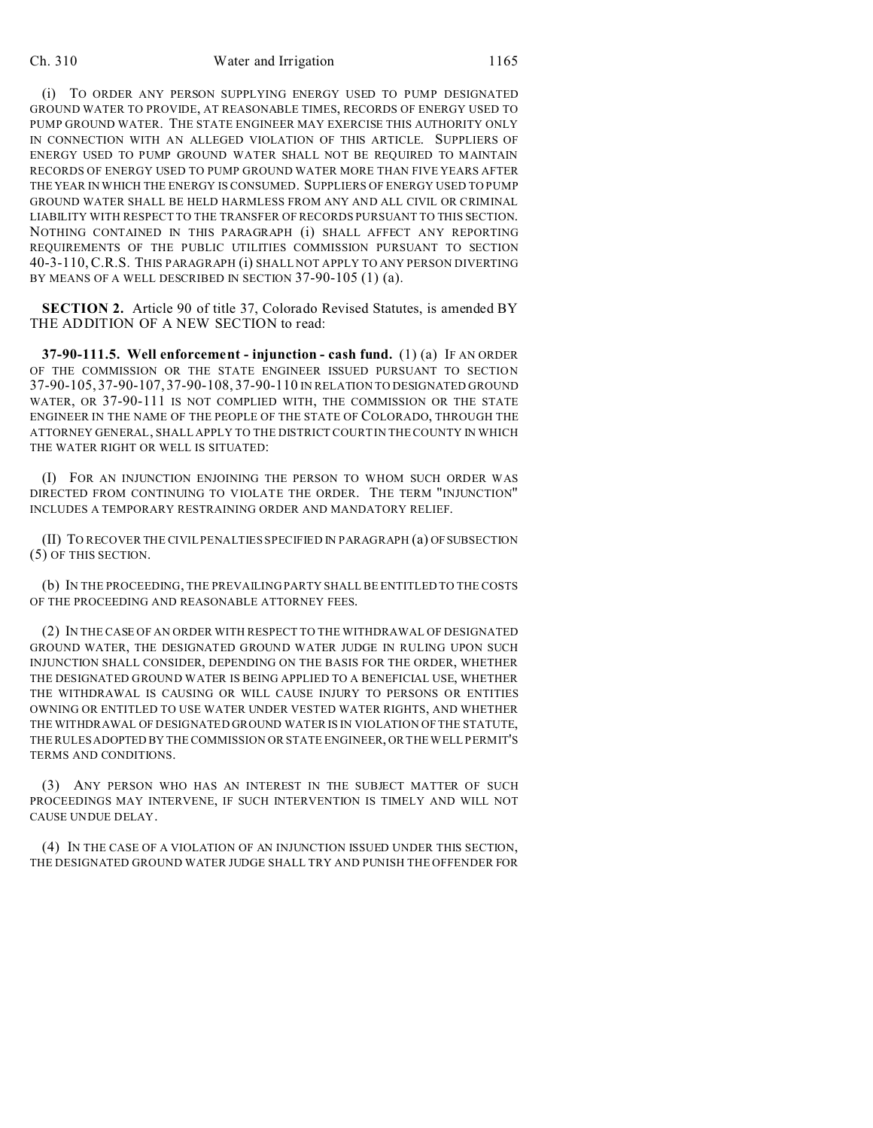(i) TO ORDER ANY PERSON SUPPLYING ENERGY USED TO PUMP DESIGNATED GROUND WATER TO PROVIDE, AT REASONABLE TIMES, RECORDS OF ENERGY USED TO PUMP GROUND WATER. THE STATE ENGINEER MAY EXERCISE THIS AUTHORITY ONLY IN CONNECTION WITH AN ALLEGED VIOLATION OF THIS ARTICLE. SUPPLIERS OF ENERGY USED TO PUMP GROUND WATER SHALL NOT BE REQUIRED TO MAINTAIN RECORDS OF ENERGY USED TO PUMP GROUND WATER MORE THAN FIVE YEARS AFTER THE YEAR IN WHICH THE ENERGY IS CONSUMED. SUPPLIERS OF ENERGY USED TO PUMP GROUND WATER SHALL BE HELD HARMLESS FROM ANY AND ALL CIVIL OR CRIMINAL LIABILITY WITH RESPECT TO THE TRANSFER OF RECORDS PURSUANT TO THIS SECTION. NOTHING CONTAINED IN THIS PARAGRAPH (i) SHALL AFFECT ANY REPORTING REQUIREMENTS OF THE PUBLIC UTILITIES COMMISSION PURSUANT TO SECTION 40-3-110,C.R.S. THIS PARAGRAPH (i) SHALL NOT APPLY TO ANY PERSON DIVERTING BY MEANS OF A WELL DESCRIBED IN SECTION 37-90-105 (1) (a).

**SECTION 2.** Article 90 of title 37, Colorado Revised Statutes, is amended BY THE ADDITION OF A NEW SECTION to read:

**37-90-111.5. Well enforcement - injunction - cash fund.** (1) (a) IF AN ORDER OF THE COMMISSION OR THE STATE ENGINEER ISSUED PURSUANT TO SECTION 37-90-105, 37-90-107, 37-90-108, 37-90-110 IN RELATION TO DESIGNATED GROUND WATER, OR 37-90-111 IS NOT COMPLIED WITH, THE COMMISSION OR THE STATE ENGINEER IN THE NAME OF THE PEOPLE OF THE STATE OF COLORADO, THROUGH THE ATTORNEY GENERAL, SHALL APPLY TO THE DISTRICT COURT IN THE COUNTY IN WHICH THE WATER RIGHT OR WELL IS SITUATED:

(I) FOR AN INJUNCTION ENJOINING THE PERSON TO WHOM SUCH ORDER WAS DIRECTED FROM CONTINUING TO VIOLATE THE ORDER. THE TERM "INJUNCTION" INCLUDES A TEMPORARY RESTRAINING ORDER AND MANDATORY RELIEF.

(II) TO RECOVER THE CIVIL PENALTIES SPECIFIED IN PARAGRAPH (a) OFSUBSECTION (5) OF THIS SECTION.

(b) IN THE PROCEEDING, THE PREVAILING PARTY SHALL BE ENTITLED TO THE COSTS OF THE PROCEEDING AND REASONABLE ATTORNEY FEES.

(2) IN THE CASE OF AN ORDER WITH RESPECT TO THE WITHDRAWAL OF DESIGNATED GROUND WATER, THE DESIGNATED GROUND WATER JUDGE IN RULING UPON SUCH INJUNCTION SHALL CONSIDER, DEPENDING ON THE BASIS FOR THE ORDER, WHETHER THE DESIGNATED GROUND WATER IS BEING APPLIED TO A BENEFICIAL USE, WHETHER THE WITHDRAWAL IS CAUSING OR WILL CAUSE INJURY TO PERSONS OR ENTITIES OWNING OR ENTITLED TO USE WATER UNDER VESTED WATER RIGHTS, AND WHETHER THE WITHDRAWAL OF DESIGNATED GROUND WATER IS IN VIOLATION OF THE STATUTE, THE RULES ADOPTED BY THE COMMISSION OR STATE ENGINEER, OR THE WELL PERMIT'S TERMS AND CONDITIONS.

(3) ANY PERSON WHO HAS AN INTEREST IN THE SUBJECT MATTER OF SUCH PROCEEDINGS MAY INTERVENE, IF SUCH INTERVENTION IS TIMELY AND WILL NOT CAUSE UNDUE DELAY.

(4) IN THE CASE OF A VIOLATION OF AN INJUNCTION ISSUED UNDER THIS SECTION, THE DESIGNATED GROUND WATER JUDGE SHALL TRY AND PUNISH THE OFFENDER FOR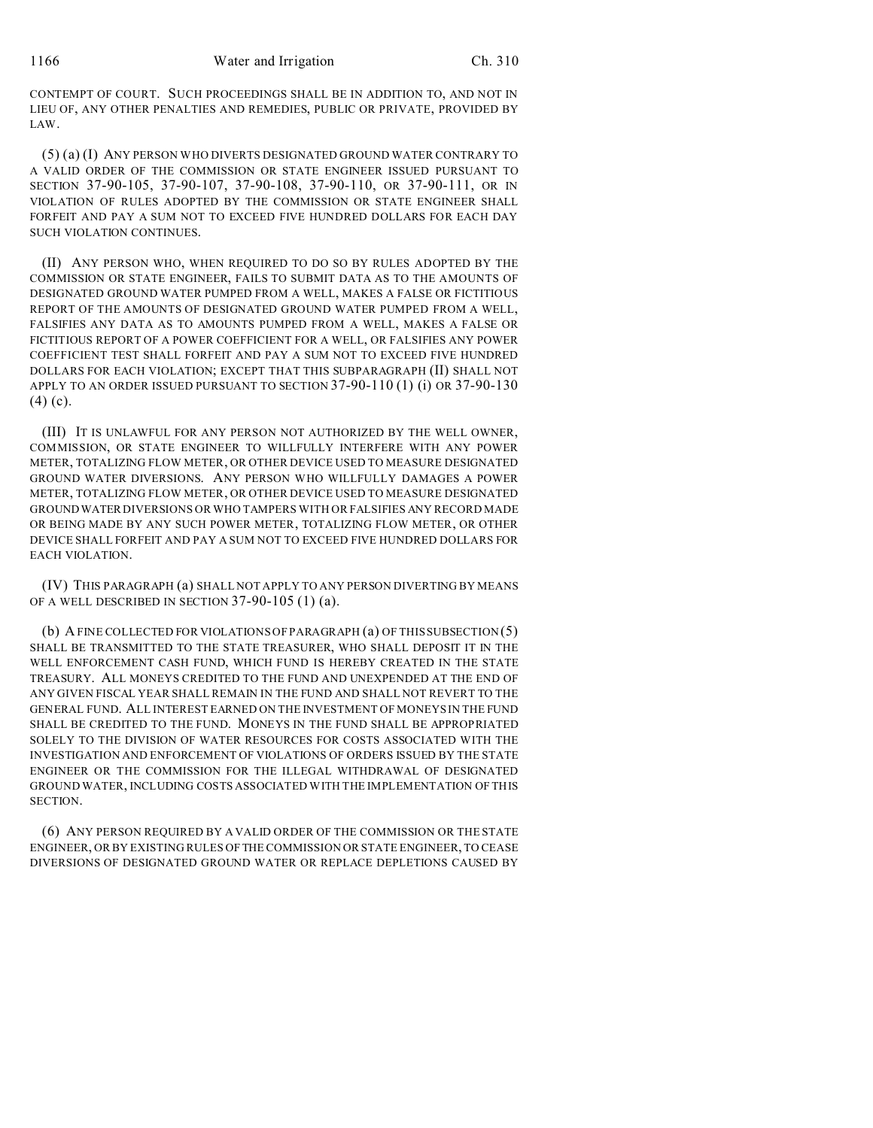CONTEMPT OF COURT. SUCH PROCEEDINGS SHALL BE IN ADDITION TO, AND NOT IN LIEU OF, ANY OTHER PENALTIES AND REMEDIES, PUBLIC OR PRIVATE, PROVIDED BY LAW.

(5) (a) (I) ANY PERSON WHO DIVERTS DESIGNATED GROUND WATER CONTRARY TO A VALID ORDER OF THE COMMISSION OR STATE ENGINEER ISSUED PURSUANT TO SECTION 37-90-105, 37-90-107, 37-90-108, 37-90-110, OR 37-90-111, OR IN VIOLATION OF RULES ADOPTED BY THE COMMISSION OR STATE ENGINEER SHALL FORFEIT AND PAY A SUM NOT TO EXCEED FIVE HUNDRED DOLLARS FOR EACH DAY SUCH VIOLATION CONTINUES.

(II) ANY PERSON WHO, WHEN REQUIRED TO DO SO BY RULES ADOPTED BY THE COMMISSION OR STATE ENGINEER, FAILS TO SUBMIT DATA AS TO THE AMOUNTS OF DESIGNATED GROUND WATER PUMPED FROM A WELL, MAKES A FALSE OR FICTITIOUS REPORT OF THE AMOUNTS OF DESIGNATED GROUND WATER PUMPED FROM A WELL, FALSIFIES ANY DATA AS TO AMOUNTS PUMPED FROM A WELL, MAKES A FALSE OR FICTITIOUS REPORT OF A POWER COEFFICIENT FOR A WELL, OR FALSIFIES ANY POWER COEFFICIENT TEST SHALL FORFEIT AND PAY A SUM NOT TO EXCEED FIVE HUNDRED DOLLARS FOR EACH VIOLATION; EXCEPT THAT THIS SUBPARAGRAPH (II) SHALL NOT APPLY TO AN ORDER ISSUED PURSUANT TO SECTION 37-90-110 (1) (i) OR 37-90-130 (4) (c).

(III) IT IS UNLAWFUL FOR ANY PERSON NOT AUTHORIZED BY THE WELL OWNER, COMMISSION, OR STATE ENGINEER TO WILLFULLY INTERFERE WITH ANY POWER METER, TOTALIZING FLOW METER, OR OTHER DEVICE USED TO MEASURE DESIGNATED GROUND WATER DIVERSIONS. ANY PERSON WHO WILLFULLY DAMAGES A POWER METER, TOTALIZING FLOW METER, OR OTHER DEVICE USED TO MEASURE DESIGNATED GROUNDWATER DIVERSIONS OR WHO TAMPERS WITH OR FALSIFIES ANY RECORD MADE OR BEING MADE BY ANY SUCH POWER METER, TOTALIZING FLOW METER, OR OTHER DEVICE SHALL FORFEIT AND PAY A SUM NOT TO EXCEED FIVE HUNDRED DOLLARS FOR EACH VIOLATION.

(IV) THIS PARAGRAPH (a) SHALL NOT APPLY TO ANY PERSON DIVERTING BY MEANS OF A WELL DESCRIBED IN SECTION 37-90-105 (1) (a).

(b) A FINE COLLECTED FOR VIOLATIONS OF PARAGRAPH (a) OF THIS SUBSECTION (5) SHALL BE TRANSMITTED TO THE STATE TREASURER, WHO SHALL DEPOSIT IT IN THE WELL ENFORCEMENT CASH FUND, WHICH FUND IS HEREBY CREATED IN THE STATE TREASURY. ALL MONEYS CREDITED TO THE FUND AND UNEXPENDED AT THE END OF ANY GIVEN FISCAL YEAR SHALL REMAIN IN THE FUND AND SHALL NOT REVERT TO THE GENERAL FUND. ALL INTEREST EARNED ON THE INVESTMENT OF MONEYS IN THE FUND SHALL BE CREDITED TO THE FUND. MONEYS IN THE FUND SHALL BE APPROPRIATED SOLELY TO THE DIVISION OF WATER RESOURCES FOR COSTS ASSOCIATED WITH THE INVESTIGATION AND ENFORCEMENT OF VIOLATIONS OF ORDERS ISSUED BY THE STATE ENGINEER OR THE COMMISSION FOR THE ILLEGAL WITHDRAWAL OF DESIGNATED GROUND WATER, INCLUDING COSTS ASSOCIATED WITH THE IMPLEMENTATION OF THIS SECTION.

(6) ANY PERSON REQUIRED BY A VALID ORDER OF THE COMMISSION OR THE STATE ENGINEER, OR BY EXISTING RULES OF THE COMMISSION OR STATE ENGINEER, TO CEASE DIVERSIONS OF DESIGNATED GROUND WATER OR REPLACE DEPLETIONS CAUSED BY